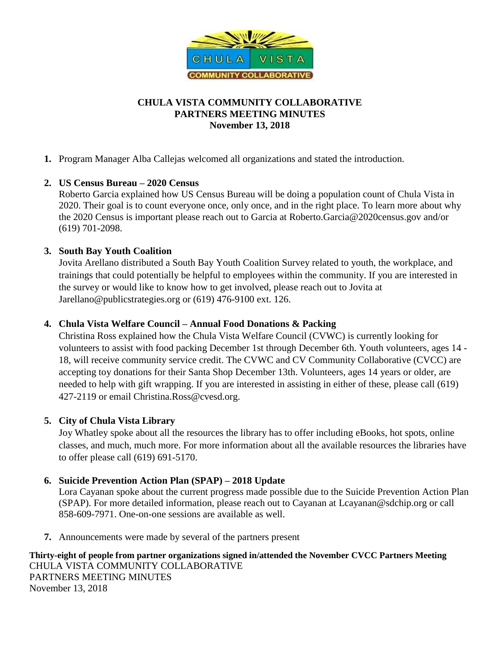

# **CHULA VISTA COMMUNITY COLLABORATIVE PARTNERS MEETING MINUTES November 13, 2018**

**1.** Program Manager Alba Callejas welcomed all organizations and stated the introduction.

## **2. US Census Bureau – 2020 Census**

Roberto Garcia explained how US Census Bureau will be doing a population count of Chula Vista in 2020. Their goal is to count everyone once, only once, and in the right place. To learn more about why the 2020 Census is important please reach out to Garcia at [Roberto.Garcia@2020census.gov](mailto:Roberto.Garcia@2020census.gov) and/or (619) 701-2098.

## **3. South Bay Youth Coalition**

Jovita Arellano distributed a South Bay Youth Coalition Survey related to youth, the workplace, and trainings that could potentially be helpful to employees within the community. If you are interested in the survey or would like to know how to get involved, please reach out to Jovita at [Jarellano@publicstrategies.org](mailto:Jarellano@publicstrategies.org) or (619) 476-9100 ext. 126.

### **4. Chula Vista Welfare Council – Annual Food Donations & Packing**

Christina Ross explained how the Chula Vista Welfare Council (CVWC) is currently looking for volunteers to assist with food packing December 1st through December 6th. Youth volunteers, ages 14 - 18, will receive community service credit. The CVWC and CV Community Collaborative (CVCC) are accepting toy donations for their Santa Shop December 13th. Volunteers, ages 14 years or older, are needed to help with gift wrapping. If you are interested in assisting in either of these, please call (619) 427-2119 or email [Christina.Ross@cvesd.org.](mailto:Christina.Ross@cvesd.org)

### **5. City of Chula Vista Library**

Joy Whatley spoke about all the resources the library has to offer including eBooks, hot spots, online classes, and much, much more. For more information about all the available resources the libraries have to offer please call (619) 691-5170.

### **6. Suicide Prevention Action Plan (SPAP) – 2018 Update**

Lora Cayanan spoke about the current progress made possible due to the Suicide Prevention Action Plan (SPAP). For more detailed information, please reach out to Cayanan at [Lcayanan@sdchip.org](mailto:Lcayanan@sdchip.org) or call 858-609-7971. One-on-one sessions are available as well.

**7.** Announcements were made by several of the partners present

**Thirty-eight of people from partner organizations signed in/attended the November CVCC Partners Meeting**  CHULA VISTA COMMUNITY COLLABORATIVE PARTNERS MEETING MINUTES November 13, 2018